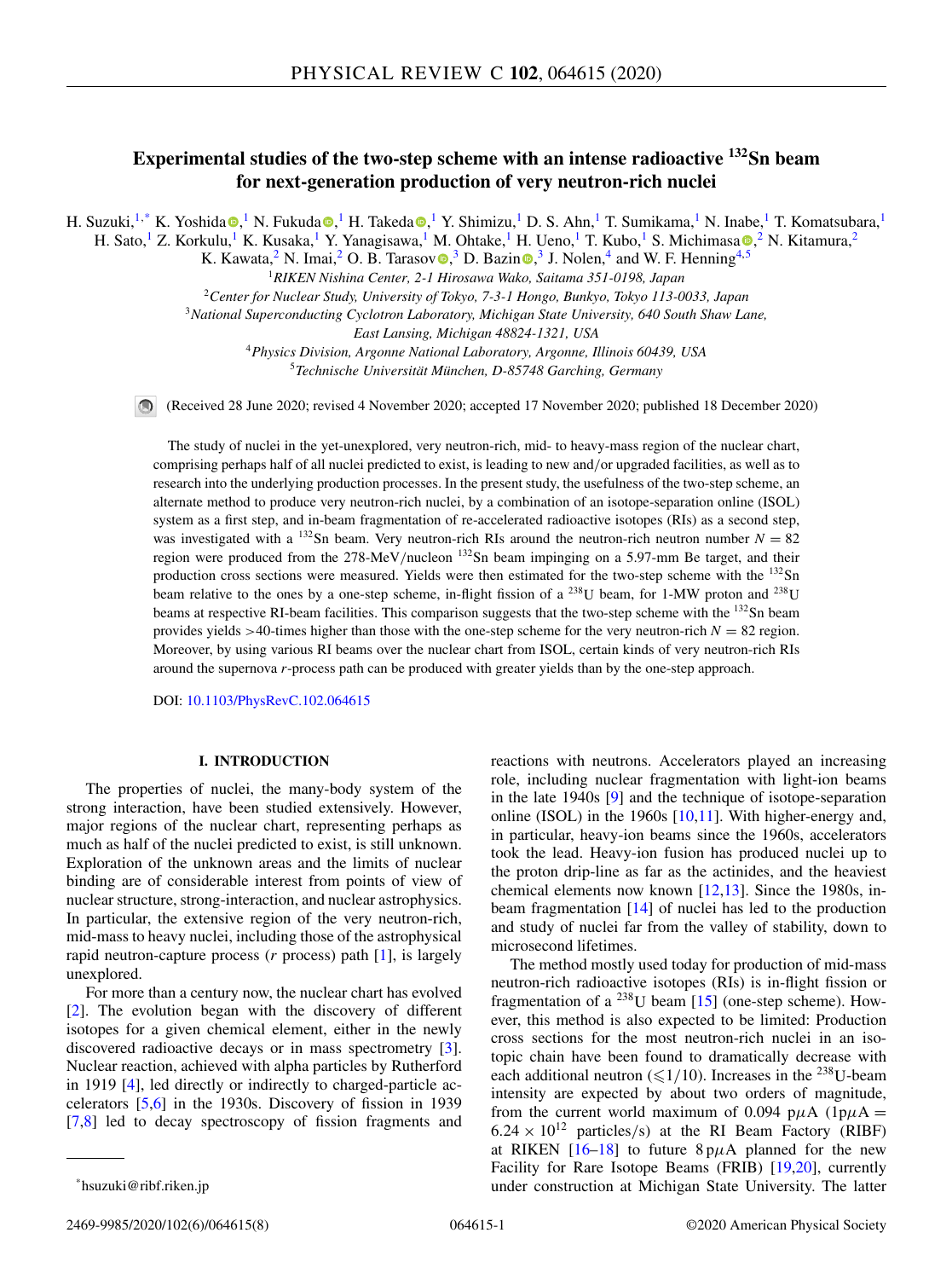# **Experimental studies of the two-step scheme with an intense radioactive 132Sn beam for next-generation production of very neutron-rich nuclei**

H. Suzuki,<sup>1,\*</sup> K. Yoshid[a](https://orcid.org/0000-0002-3726-6481) ,<sup>1</sup> N. Fukuda ,<sup>1</sup> H. Takeda ,<sup>1</sup> Y. Shimizu,<sup>1</sup> D. S. Ahn,<sup>1</sup> T. Sumikama,<sup>1</sup> N. Inabe,<sup>1</sup> T. Komatsubara,<sup>1</sup>

H. Sato[,](https://orcid.org/0000-0002-5667-9636)<sup>1</sup> Z. Korkulu,<sup>1</sup> K. Kusaka,<sup>1</sup> Y. Yanagisawa,<sup>1</sup> M. Ohtake,<sup>1</sup> H. Ueno,<sup>1</sup> T. Kubo,<sup>1</sup> S. Michimasa ,<sup>2</sup> N. Kitamura,<sup>2</sup>

K. Kawata,<sup>2</sup> N. Imai,<sup>2</sup> O. B. Taraso[v](https://orcid.org/0000-0003-0497-1421)  $\bullet$ [,](https://orcid.org/0000-0002-5663-9693)<sup>3</sup> D. Bazin  $\bullet$ ,<sup>3</sup> J. Nolen,<sup>4</sup> and W. F. Henning<sup>4,5</sup>

<sup>1</sup>*RIKEN Nishina Center, 2-1 Hirosawa Wako, Saitama 351-0198, Japan*

<sup>2</sup>*Center for Nuclear Study, University of Tokyo, 7-3-1 Hongo, Bunkyo, Tokyo 113-0033, Japan*

<sup>3</sup>*National Superconducting Cyclotron Laboratory, Michigan State University, 640 South Shaw Lane,*

*East Lansing, Michigan 48824-1321, USA*

<sup>4</sup>*Physics Division, Argonne National Laboratory, Argonne, Illinois 60439, USA*

<sup>5</sup>*Technische Universität München, D-85748 Garching, Germany*

(Received 28 June 2020; revised 4 November 2020; accepted 17 November 2020; published 18 December 2020)

The study of nuclei in the yet-unexplored, very neutron-rich, mid- to heavy-mass region of the nuclear chart, comprising perhaps half of all nuclei predicted to exist, is leading to new and/or upgraded facilities, as well as to research into the underlying production processes. In the present study, the usefulness of the two-step scheme, an alternate method to produce very neutron-rich nuclei, by a combination of an isotope-separation online (ISOL) system as a first step, and in-beam fragmentation of re-accelerated radioactive isotopes (RIs) as a second step, was investigated with a <sup>132</sup>Sn beam. Very neutron-rich RIs around the neutron-rich neutron number  $N = 82$ region were produced from the 278-MeV/nucleon <sup>132</sup>Sn beam impinging on a 5.97-mm Be target, and their production cross sections were measured. Yields were then estimated for the two-step scheme with the <sup>132</sup>Sn beam relative to the ones by a one-step scheme, in-flight fission of a <sup>238</sup>U beam, for 1-MW proton and <sup>238</sup>U beams at respective RI-beam facilities. This comparison suggests that the two-step scheme with the <sup>132</sup>Sn beam provides yields  $>40$ -times higher than those with the one-step scheme for the very neutron-rich  $N = 82$  region. Moreover, by using various RI beams over the nuclear chart from ISOL, certain kinds of very neutron-rich RIs around the supernova *r*-process path can be produced with greater yields than by the one-step approach.

DOI: [10.1103/PhysRevC.102.064615](https://doi.org/10.1103/PhysRevC.102.064615)

# **I. INTRODUCTION**

The properties of nuclei, the many-body system of the strong interaction, have been studied extensively. However, major regions of the nuclear chart, representing perhaps as much as half of the nuclei predicted to exist, is still unknown. Exploration of the unknown areas and the limits of nuclear binding are of considerable interest from points of view of nuclear structure, strong-interaction, and nuclear astrophysics. In particular, the extensive region of the very neutron-rich, mid-mass to heavy nuclei, including those of the astrophysical rapid neutron-capture process (*r* process) path [\[1\]](#page-6-0), is largely unexplored.

For more than a century now, the nuclear chart has evolved [\[2\]](#page-6-0). The evolution began with the discovery of different isotopes for a given chemical element, either in the newly discovered radioactive decays or in mass spectrometry [\[3\]](#page-6-0). Nuclear reaction, achieved with alpha particles by Rutherford in 1919 [\[4\]](#page-6-0), led directly or indirectly to charged-particle accelerators [\[5,6\]](#page-6-0) in the 1930s. Discovery of fission in 1939 [\[7,8\]](#page-6-0) led to decay spectroscopy of fission fragments and reactions with neutrons. Accelerators played an increasing role, including nuclear fragmentation with light-ion beams in the late 1940s [\[9\]](#page-6-0) and the technique of isotope-separation online (ISOL) in the 1960s  $[10,11]$ . With higher-energy and, in particular, heavy-ion beams since the 1960s, accelerators took the lead. Heavy-ion fusion has produced nuclei up to the proton drip-line as far as the actinides, and the heaviest chemical elements now known  $[12,13]$  $[12,13]$ . Since the 1980s, inbeam fragmentation [\[14\]](#page-7-0) of nuclei has led to the production and study of nuclei far from the valley of stability, down to microsecond lifetimes.

The method mostly used today for production of mid-mass neutron-rich radioactive isotopes (RIs) is in-flight fission or fragmentation of a  $^{238}$ U beam [\[15\]](#page-7-0) (one-step scheme). However, this method is also expected to be limited: Production cross sections for the most neutron-rich nuclei in an isotopic chain have been found to dramatically decrease with each additional neutron ( $\leq 1/10$ ). Increases in the <sup>238</sup>U-beam intensity are expected by about two orders of magnitude, from the current world maximum of 0.094 p $\mu$ A (1p $\mu$ A =  $6.24 \times 10^{12}$  particles/s) at the RI Beam Factory (RIBF) at RIKEN  $[16-18]$  to future  $8p\mu A$  planned for the new Facility for Rare Isotope Beams (FRIB) [\[19,20\]](#page-7-0), currently under construction at Michigan State University. The latter

<sup>\*</sup>hsuzuki@ribf.riken.jp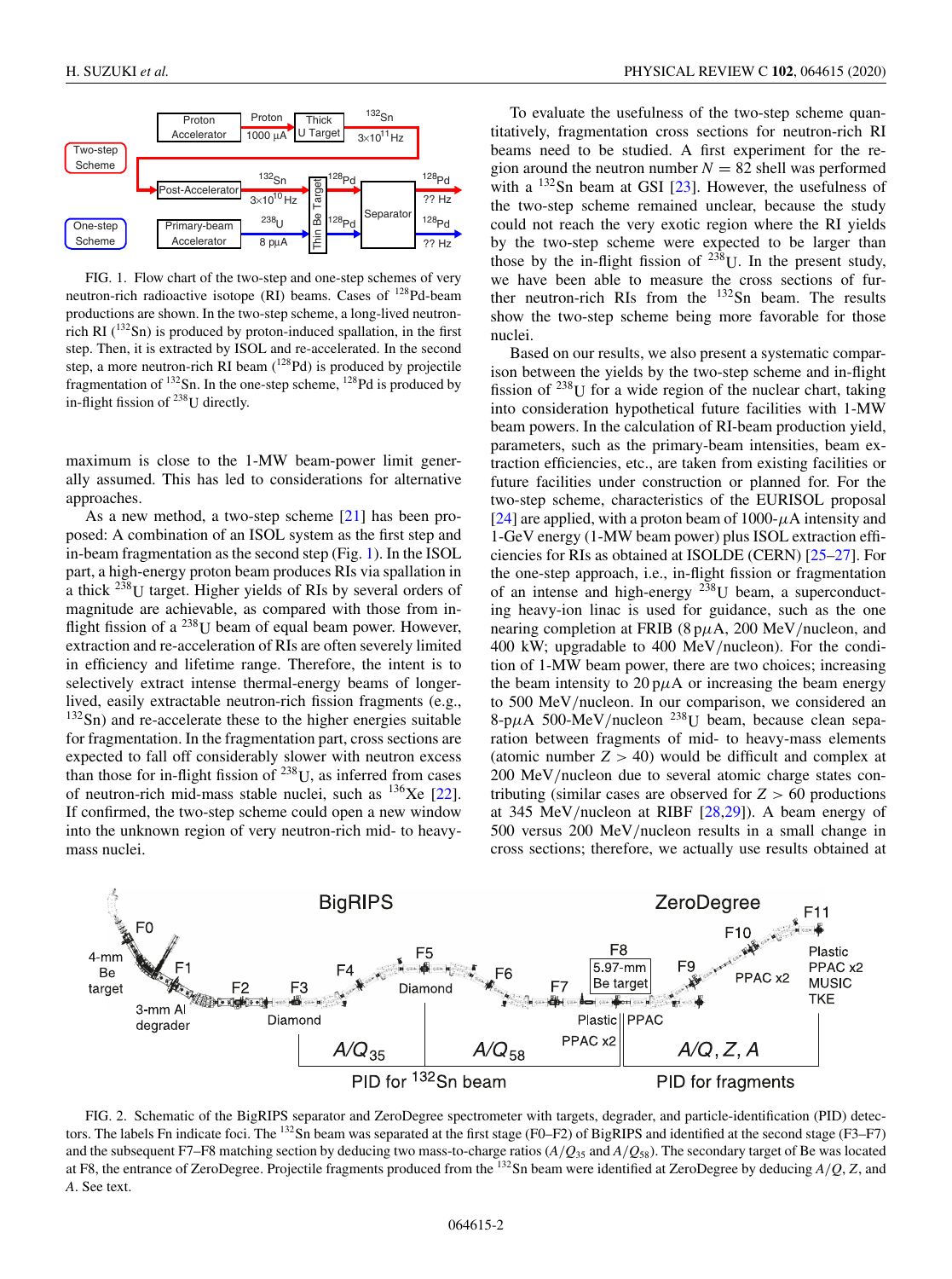<span id="page-1-0"></span>

FIG. 1. Flow chart of the two-step and one-step schemes of very neutron-rich radioactive isotope (RI) beams. Cases of 128Pd-beam productions are shown. In the two-step scheme, a long-lived neutronrich RI  $(^{132}Sn)$  is produced by proton-induced spallation, in the first step. Then, it is extracted by ISOL and re-accelerated. In the second step, a more neutron-rich RI beam (<sup>128</sup>Pd) is produced by projectile fragmentation of  $^{132}$ Sn. In the one-step scheme,  $^{128}$ Pd is produced by in-flight fission of  $^{238}$ U directly.

maximum is close to the 1-MW beam-power limit generally assumed. This has led to considerations for alternative approaches.

As a new method, a two-step scheme [\[21\]](#page-7-0) has been proposed: A combination of an ISOL system as the first step and in-beam fragmentation as the second step (Fig. 1). In the ISOL part, a high-energy proton beam produces RIs via spallation in a thick 238U target. Higher yields of RIs by several orders of magnitude are achievable, as compared with those from inflight fission of a  $^{238}$ U beam of equal beam power. However, extraction and re-acceleration of RIs are often severely limited in efficiency and lifetime range. Therefore, the intent is to selectively extract intense thermal-energy beams of longerlived, easily extractable neutron-rich fission fragments (e.g.,  $132$ Sn) and re-accelerate these to the higher energies suitable for fragmentation. In the fragmentation part, cross sections are expected to fall off considerably slower with neutron excess than those for in-flight fission of  $238$ U, as inferred from cases of neutron-rich mid-mass stable nuclei, such as  $136Xe$  [\[22\]](#page-7-0). If confirmed, the two-step scheme could open a new window into the unknown region of very neutron-rich mid- to heavymass nuclei.

To evaluate the usefulness of the two-step scheme quantitatively, fragmentation cross sections for neutron-rich RI beams need to be studied. A first experiment for the region around the neutron number  $N = 82$  shell was performed with a  $^{132}$ Sn beam at GSI [\[23\]](#page-7-0). However, the usefulness of the two-step scheme remained unclear, because the study could not reach the very exotic region where the RI yields by the two-step scheme were expected to be larger than those by the in-flight fission of  $^{238}$ U. In the present study, we have been able to measure the cross sections of further neutron-rich RIs from the 132Sn beam. The results show the two-step scheme being more favorable for those nuclei.

Based on our results, we also present a systematic comparison between the yields by the two-step scheme and in-flight fission of  $^{238}$ U for a wide region of the nuclear chart, taking into consideration hypothetical future facilities with 1-MW beam powers. In the calculation of RI-beam production yield, parameters, such as the primary-beam intensities, beam extraction efficiencies, etc., are taken from existing facilities or future facilities under construction or planned for. For the two-step scheme, characteristics of the EURISOL proposal [\[24\]](#page-7-0) are applied, with a proton beam of 1000- $\mu$ A intensity and 1-GeV energy (1-MW beam power) plus ISOL extraction efficiencies for RIs as obtained at ISOLDE (CERN) [\[25–27\]](#page-7-0). For the one-step approach, i.e., in-flight fission or fragmentation of an intense and high-energy  $2\overline{3}8$ U beam, a superconducting heavy-ion linac is used for guidance, such as the one nearing completion at FRIB ( $8 \mu A$ , 200 MeV/nucleon, and 400 kW; upgradable to 400 MeV/nucleon). For the condition of 1-MW beam power, there are two choices; increasing the beam intensity to  $20 \text{ p}\mu\text{A}$  or increasing the beam energy to 500 MeV/nucleon. In our comparison, we considered an 8-p $\mu$ A 500-MeV/nucleon <sup>238</sup>U beam, because clean separation between fragments of mid- to heavy-mass elements (atomic number  $Z > 40$ ) would be difficult and complex at 200 MeV/nucleon due to several atomic charge states contributing (similar cases are observed for  $Z > 60$  productions at 345 MeV/nucleon at RIBF [\[28,29\]](#page-7-0)). A beam energy of 500 versus 200 MeV/nucleon results in a small change in cross sections; therefore, we actually use results obtained at



FIG. 2. Schematic of the BigRIPS separator and ZeroDegree spectrometer with targets, degrader, and particle-identification (PID) detectors. The labels Fn indicate foci. The <sup>132</sup>Sn beam was separated at the first stage (F0–F2) of BigRIPS and identified at the second stage (F3–F7) and the subsequent F7–F8 matching section by deducing two mass-to-charge ratios (*A*/*Q*<sup>35</sup> and *A*/*Q*58). The secondary target of Be was located at F8, the entrance of ZeroDegree. Projectile fragments produced from the 132Sn beam were identified at ZeroDegree by deducing *A*/*Q*, *Z*, and *A*. See text.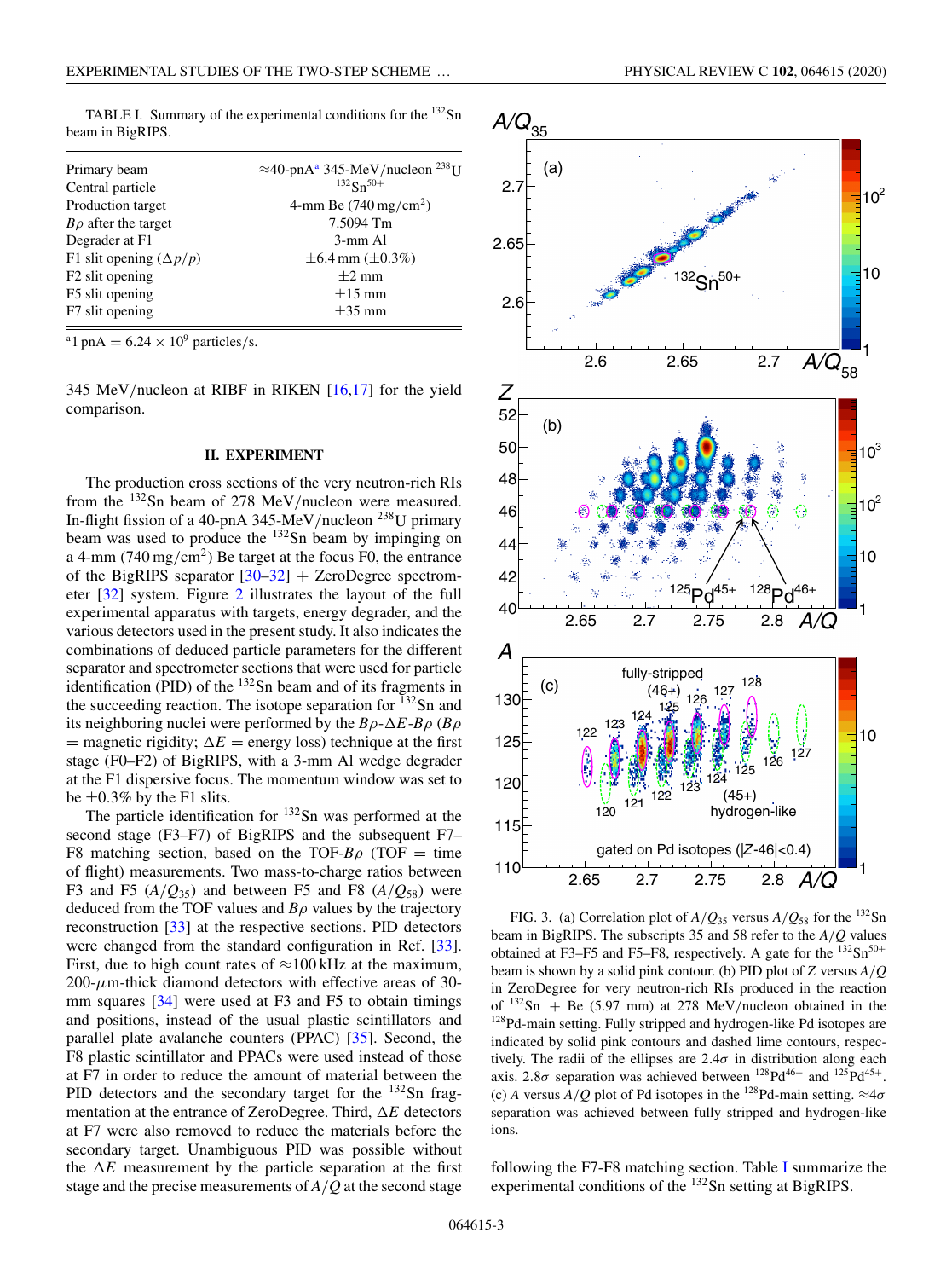| beam in Digith 9.        |                                                                |
|--------------------------|----------------------------------------------------------------|
| Primary beam             | $\approx$ 40-pnA <sup>a</sup> 345-MeV/nucleon <sup>238</sup> U |
| Central particle         | $132$ Sn <sup>50+</sup>                                        |
| Production target        | 4-mm Be $(740 \,\mathrm{mg/cm^2})$                             |
| $B\rho$ after the target | 7.5094 Tm                                                      |
| Degrader at F1           | 3-mm Al                                                        |

F1 slit opening  $(\Delta p/p)$   $\pm 6.4$  mm  $(\pm 0.3\%)$ <br>F2 slit opening  $\pm 2$  mm F2 slit opening  $\pm 2$  mm<br>F5 slit opening  $\pm 15$  mm F5 slit opening  $\pm 15$  mm<br>F7 slit opening  $\pm 35$  mm

<span id="page-2-0"></span>TABLE I. Summary of the experimental conditions for the <sup>132</sup>Sn beam in BigRIPS.

<sup>a</sup>1 pnA =  $6.24 \times 10^9$  particles/s.

F7 slit opening

345 MeV/nucleon at RIBF in RIKEN [\[16,17\]](#page-7-0) for the yield comparison.

### **II. EXPERIMENT**

The production cross sections of the very neutron-rich RIs from the 132Sn beam of 278 MeV/nucleon were measured. In-flight fission of a 40-pnA 345-MeV/nucleon  $^{238}$ U primary beam was used to produce the <sup>132</sup>Sn beam by impinging on a 4-mm (740 mg/cm<sup>2</sup>) Be target at the focus F0, the entrance of the BigRIPS separator  $[30-32]$  + ZeroDegree spectrometer [\[32\]](#page-7-0) system. Figure [2](#page-1-0) illustrates the layout of the full experimental apparatus with targets, energy degrader, and the various detectors used in the present study. It also indicates the combinations of deduced particle parameters for the different separator and spectrometer sections that were used for particle identification (PID) of the  $132$ Sn beam and of its fragments in the succeeding reaction. The isotope separation for  $^{132}$ Sn and its neighboring nuclei were performed by the  $B\rho - \Delta E - B\rho$  ( $B\rho$ )  $=$  magnetic rigidity;  $\Delta E =$  energy loss) technique at the first stage (F0–F2) of BigRIPS, with a 3-mm Al wedge degrader at the F1 dispersive focus. The momentum window was set to be  $\pm 0.3\%$  by the F1 slits.

The particle identification for  $132$ Sn was performed at the second stage (F3–F7) of BigRIPS and the subsequent F7– F8 matching section, based on the TOF- $B\rho$  (TOF = time of flight) measurements. Two mass-to-charge ratios between F3 and F5  $(A/O_{35})$  and between F5 and F8  $(A/O_{58})$  were deduced from the TOF values and *B*ρ values by the trajectory reconstruction [\[33\]](#page-7-0) at the respective sections. PID detectors were changed from the standard configuration in Ref. [\[33\]](#page-7-0). First, due to high count rates of  $\approx$ 100 kHz at the maximum,  $200-\mu$ m-thick diamond detectors with effective areas of 30mm squares  $[34]$  were used at F3 and F5 to obtain timings and positions, instead of the usual plastic scintillators and parallel plate avalanche counters (PPAC) [\[35\]](#page-7-0). Second, the F8 plastic scintillator and PPACs were used instead of those at F7 in order to reduce the amount of material between the PID detectors and the secondary target for the  $^{132}$ Sn fragmentation at the entrance of ZeroDegree. Third,  $\Delta E$  detectors at F7 were also removed to reduce the materials before the secondary target. Unambiguous PID was possible without the  $\Delta E$  measurement by the particle separation at the first stage and the precise measurements of *A*/*Q* at the second stage





FIG. 3. (a) Correlation plot of  $A/Q_{35}$  versus  $A/Q_{58}$  for the <sup>132</sup>Sn beam in BigRIPS. The subscripts 35 and 58 refer to the *A*/*Q* values obtained at F3–F5 and F5–F8, respectively. A gate for the  $^{132}Sn^{50+}$ beam is shown by a solid pink contour. (b) PID plot of *Z* versus *A*/*Q* in ZeroDegree for very neutron-rich RIs produced in the reaction of  $^{132}Sn$  + Be (5.97 mm) at 278 MeV/nucleon obtained in the  $^{128}Pd$ -main setting. Fully stripped and hydrogen-like Pd isotopes are indicated by solid pink contours and dashed lime contours, respectively. The radii of the ellipses are  $2.4\sigma$  in distribution along each axis. 2.8 $\sigma$  separation was achieved between <sup>128</sup>Pd<sup>46+</sup> and <sup>125</sup>Pd<sup>45+</sup>. (c) *A* versus  $\overline{A}/\overline{Q}$  plot of Pd isotopes in the <sup>128</sup>Pd-main setting.  $\approx 4\sigma$ separation was achieved between fully stripped and hydrogen-like ions.

following the F7-F8 matching section. Table I summarize the experimental conditions of the <sup>132</sup>Sn setting at BigRIPS.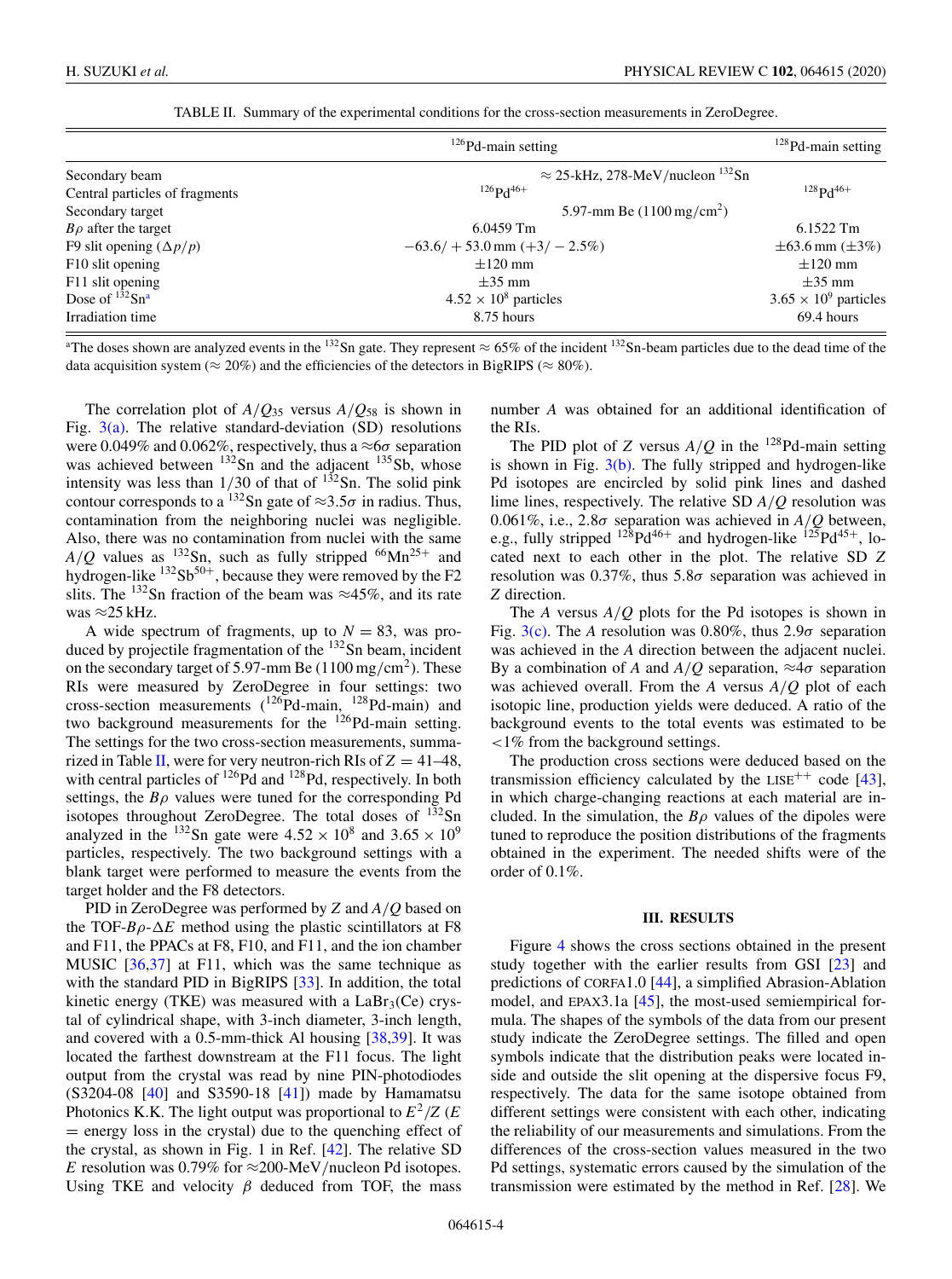| TABLE II. Summary of the experimental conditions for the cross-section measurements in ZeroDegree. |  |  |  |  |  |  |  |
|----------------------------------------------------------------------------------------------------|--|--|--|--|--|--|--|
|----------------------------------------------------------------------------------------------------|--|--|--|--|--|--|--|

|                                | $126$ Pd-main setting                          | $128$ Pd-main setting        |
|--------------------------------|------------------------------------------------|------------------------------|
| Secondary beam                 | $\approx$ 25-kHz, 278-MeV/nucleon $^{132}$ Sn  |                              |
| Central particles of fragments | $126$ $\mathrm{p}$ $\mathrm{d}$ <sup>46+</sup> | $128p_146+$                  |
| Secondary target               | 5.97-mm Be $(1100 \,\text{mg/cm}^2)$           |                              |
| $B\rho$ after the target       | $6.0459$ Tm                                    | 6.1522 Tm                    |
| F9 slit opening $(\Delta p/p)$ | $-63.6$ / + 53.0 mm (+3/ - 2.5%)               | $\pm 63.6$ mm ( $\pm 3\%$ )  |
| F10 slit opening               | $\pm 120$ mm                                   | $\pm 120$ mm                 |
| F11 slit opening               | $\pm 35$ mm                                    | $\pm 35$ mm                  |
| Dose of $132$ Sn <sup>a</sup>  | $4.52 \times 10^8$ particles                   | $3.65 \times 10^9$ particles |
| Irradiation time               | 8.75 hours                                     | 69.4 hours                   |

<sup>a</sup>The doses shown are analyzed events in the <sup>132</sup>Sn gate. They represent  $\approx 65\%$  of the incident <sup>132</sup>Sn-beam particles due to the dead time of the data acquisition system ( $\approx 20\%$ ) and the efficiencies of the detectors in BigRIPS ( $\approx 80\%$ ).

The correlation plot of  $A/Q_{35}$  versus  $A/Q_{58}$  is shown in Fig.  $3(a)$ . The relative standard-deviation (SD) resolutions were 0.049% and 0.062%, respectively, thus a  $\approx 6\sigma$  separation was achieved between <sup>132</sup>Sn and the adjacent <sup>135</sup>Sb, whose intensity was less than  $1/30$  of that of  $1^{32}$ Sn. The solid pink contour corresponds to a <sup>132</sup>Sn gate of ≈3.5 $\sigma$  in radius. Thus, contamination from the neighboring nuclei was negligible. Also, there was no contamination from nuclei with the same  $A/Q$  values as <sup>132</sup>Sn, such as fully stripped <sup>66</sup>Mn<sup>25+</sup> and hydrogen-like  $132Sb^{50+}$ , because they were removed by the F2 slits. The <sup>132</sup>Sn fraction of the beam was  $\approx$ 45%, and its rate was ≈25 kHz.

A wide spectrum of fragments, up to  $N = 83$ , was produced by projectile fragmentation of the  $132$ Sn beam, incident on the secondary target of 5.97-mm Be  $(1100 \text{ mg/cm}^2)$ . These RIs were measured by ZeroDegree in four settings: two cross-section measurements  $(^{126}Pd-main, ^{128}Pd-main)$  and two background measurements for the  $126$ Pd-main setting. The settings for the two cross-section measurements, summarized in Table II, were for very neutron-rich RIs of  $Z = 41-48$ , with central particles of  $^{126}Pd$  and  $^{128}Pd$ , respectively. In both settings, the  $B\rho$  values were tuned for the corresponding Pd isotopes throughout ZeroDegree. The total doses of  $132$ Sn analyzed in the <sup>132</sup>Sn gate were  $4.52 \times 10^8$  and  $3.65 \times 10^9$ particles, respectively. The two background settings with a blank target were performed to measure the events from the target holder and the F8 detectors.

PID in ZeroDegree was performed by *Z* and *A*/*Q* based on the TOF- $B\rho$ - $\Delta E$  method using the plastic scintillators at F8 and F11, the PPACs at F8, F10, and F11, and the ion chamber MUSIC [\[36,37\]](#page-7-0) at F11, which was the same technique as with the standard PID in BigRIPS [\[33\]](#page-7-0). In addition, the total kinetic energy (TKE) was measured with a  $LaBr<sub>3</sub>(Ce)$  crystal of cylindrical shape, with 3-inch diameter, 3-inch length, and covered with a 0.5-mm-thick Al housing [\[38,39\]](#page-7-0). It was located the farthest downstream at the F11 focus. The light output from the crystal was read by nine PIN-photodiodes  $(S3204-08$  [\[40\]](#page-7-0) and S3590-18 [\[41\]](#page-7-0)) made by Hamamatsu Photonics K.K. The light output was proportional to  $E^2/Z$  (*E*) = energy loss in the crystal) due to the quenching effect of the crystal, as shown in Fig. 1 in Ref. [\[42\]](#page-7-0). The relative SD *E* resolution was 0.79% for  $\approx$ 200-MeV/nucleon Pd isotopes. Using TKE and velocity  $\beta$  deduced from TOF, the mass

number *A* was obtained for an additional identification of the RIs.

The PID plot of *Z* versus  $A/Q$  in the <sup>128</sup>Pd-main setting is shown in Fig.  $3(b)$ . The fully stripped and hydrogen-like Pd isotopes are encircled by solid pink lines and dashed lime lines, respectively. The relative SD *A*/*Q* resolution was 0.061%, i.e., 2.8 $\sigma$  separation was achieved in  $A/Q$  between, e.g., fully stripped  $128Pd^{46+}$  and hydrogen-like  $125Pd^{45+}$ , located next to each other in the plot. The relative SD *Z* resolution was 0.37%, thus  $5.8\sigma$  separation was achieved in *Z* direction.

The *A* versus *A*/*Q* plots for the Pd isotopes is shown in Fig.  $3(c)$ . The *A* resolution was 0.80%, thus 2.9 $\sigma$  separation was achieved in the *A* direction between the adjacent nuclei. By a combination of *A* and  $A/O$  separation,  $\approx 4\sigma$  separation was achieved overall. From the *A* versus *A*/*Q* plot of each isotopic line, production yields were deduced. A ratio of the background events to the total events was estimated to be <1% from the background settings.

The production cross sections were deduced based on the transmission efficiency calculated by the  $LISE^{++}$  code [\[43\]](#page-7-0), in which charge-changing reactions at each material are included. In the simulation, the  $B\rho$  values of the dipoles were tuned to reproduce the position distributions of the fragments obtained in the experiment. The needed shifts were of the order of 0.1%.

#### **III. RESULTS**

Figure [4](#page-4-0) shows the cross sections obtained in the present study together with the earlier results from GSI [\[23\]](#page-7-0) and predictions of CORFA1.0 [\[44\]](#page-7-0), a simplified Abrasion-Ablation model, and EPAX3.1a [\[45\]](#page-7-0), the most-used semiempirical formula. The shapes of the symbols of the data from our present study indicate the ZeroDegree settings. The filled and open symbols indicate that the distribution peaks were located inside and outside the slit opening at the dispersive focus F9, respectively. The data for the same isotope obtained from different settings were consistent with each other, indicating the reliability of our measurements and simulations. From the differences of the cross-section values measured in the two Pd settings, systematic errors caused by the simulation of the transmission were estimated by the method in Ref. [\[28\]](#page-7-0). We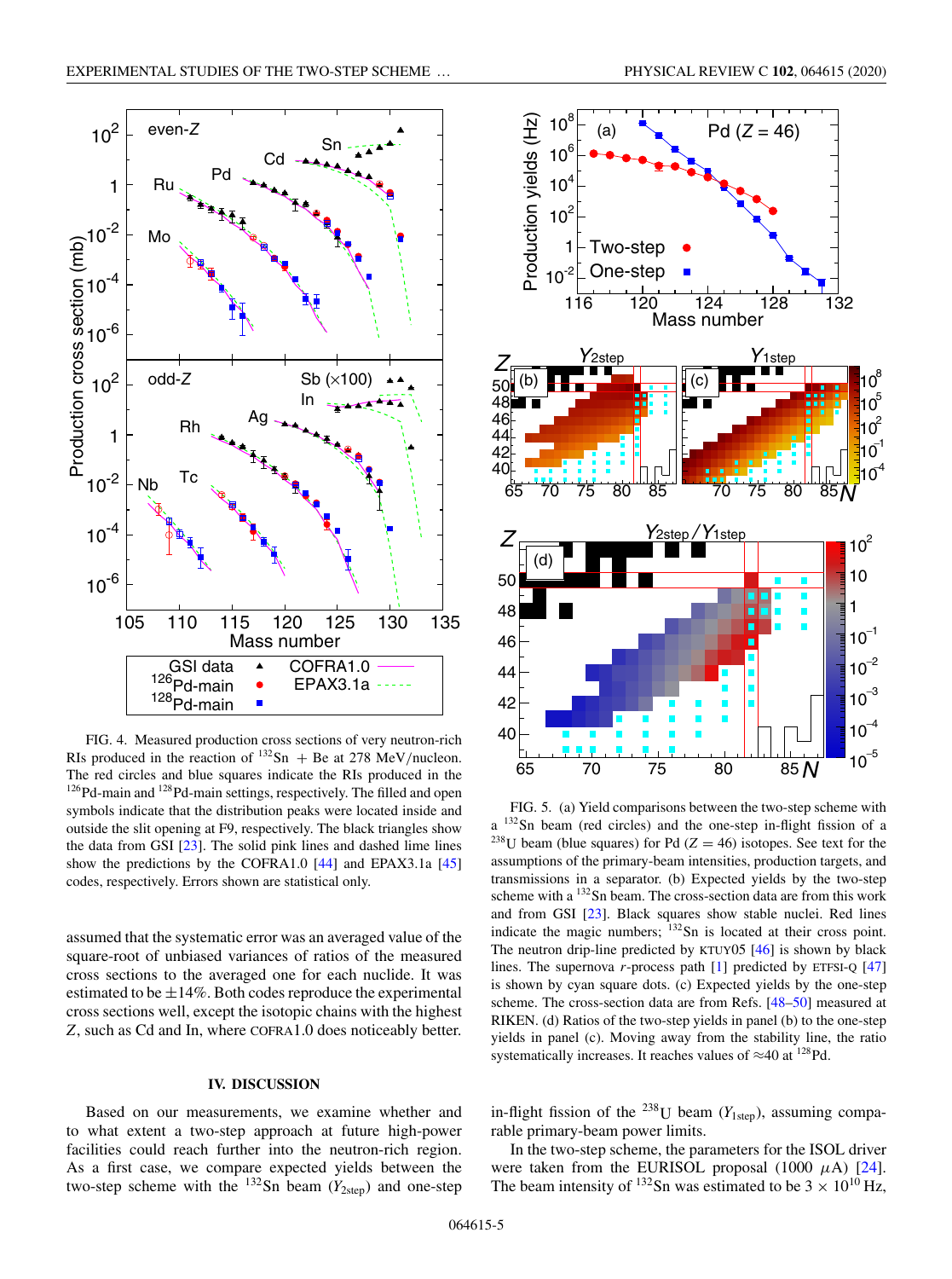<span id="page-4-0"></span>

FIG. 4. Measured production cross sections of very neutron-rich RIs produced in the reaction of  $^{132}Sn$  + Be at 278 MeV/nucleon. The red circles and blue squares indicate the RIs produced in the <sup>126</sup>Pd-main and <sup>128</sup>Pd-main settings, respectively. The filled and open symbols indicate that the distribution peaks were located inside and outside the slit opening at F9, respectively. The black triangles show the data from GSI [\[23\]](#page-7-0). The solid pink lines and dashed lime lines show the predictions by the COFRA1.0 [\[44\]](#page-7-0) and EPAX3.1a [\[45\]](#page-7-0) codes, respectively. Errors shown are statistical only.

assumed that the systematic error was an averaged value of the square-root of unbiased variances of ratios of the measured cross sections to the averaged one for each nuclide. It was estimated to be  $\pm 14\%$ . Both codes reproduce the experimental cross sections well, except the isotopic chains with the highest *Z*, such as Cd and In, where COFRA1.0 does noticeably better.

# **IV. DISCUSSION**

Based on our measurements, we examine whether and to what extent a two-step approach at future high-power facilities could reach further into the neutron-rich region. As a first case, we compare expected yields between the two-step scheme with the  $^{132}$ Sn beam ( $Y_{2step}$ ) and one-step



FIG. 5. (a) Yield comparisons between the two-step scheme with a 132Sn beam (red circles) and the one-step in-flight fission of a <sup>238</sup>U beam (blue squares) for Pd ( $Z = 46$ ) isotopes. See text for the assumptions of the primary-beam intensities, production targets, and transmissions in a separator. (b) Expected yields by the two-step scheme with a 132Sn beam. The cross-section data are from this work and from GSI [\[23\]](#page-7-0). Black squares show stable nuclei. Red lines indicate the magic numbers;  $132$  Sn is located at their cross point. The neutron drip-line predicted by KTUY05 [\[46\]](#page-7-0) is shown by black lines. The supernova *r*-process path [\[1\]](#page-6-0) predicted by ETFSI-Q [\[47\]](#page-7-0) is shown by cyan square dots. (c) Expected yields by the one-step scheme. The cross-section data are from Refs. [\[48–50\]](#page-7-0) measured at RIKEN. (d) Ratios of the two-step yields in panel (b) to the one-step yields in panel (c). Moving away from the stability line, the ratio systematically increases. It reaches values of  $\approx$ 40 at <sup>128</sup>Pd.

in-flight fission of the <sup>238</sup>U beam ( $Y<sub>1step</sub>$ ), assuming comparable primary-beam power limits.

In the two-step scheme, the parameters for the ISOL driver were taken from the EURISOL proposal  $(1000 \mu A)$  [\[24\]](#page-7-0). The beam intensity of  $^{132}$ Sn was estimated to be  $3 \times 10^{10}$  Hz,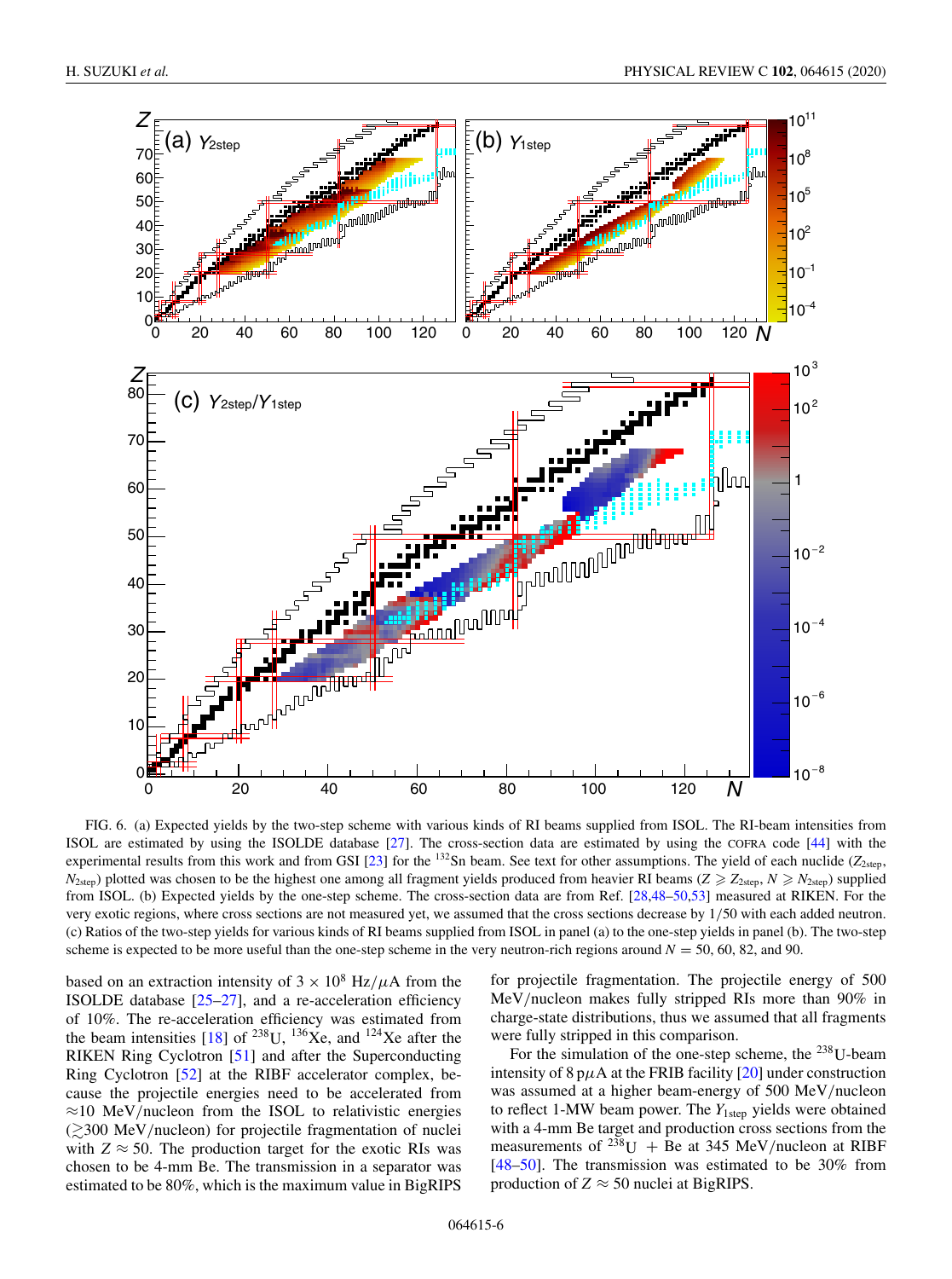<span id="page-5-0"></span>

FIG. 6. (a) Expected yields by the two-step scheme with various kinds of RI beams supplied from ISOL. The RI-beam intensities from ISOL are estimated by using the ISOLDE database [\[27\]](#page-7-0). The cross-section data are estimated by using the COFRA code [\[44\]](#page-7-0) with the experimental results from this work and from GSI  $[23]$  for the <sup>132</sup>Sn beam. See text for other assumptions. The yield of each nuclide ( $Z_{2\text{step}}$ ,  $N_{\text{2step}}$ ) plotted was chosen to be the highest one among all fragment yields produced from heavier RI beams ( $Z \ge Z_{\text{2step}}$ ,  $N \ge N_{\text{2step}}$ ) supplied from ISOL. (b) Expected yields by the one-step scheme. The cross-section data are from Ref. [\[28,48–50,53\]](#page-7-0) measured at RIKEN. For the very exotic regions, where cross sections are not measured yet, we assumed that the cross sections decrease by 1/50 with each added neutron. (c) Ratios of the two-step yields for various kinds of RI beams supplied from ISOL in panel (a) to the one-step yields in panel (b). The two-step scheme is expected to be more useful than the one-step scheme in the very neutron-rich regions around  $N = 50$ , 60, 82, and 90.

based on an extraction intensity of  $3 \times 10^8$  Hz/ $\mu$ A from the ISOLDE database  $[25-27]$ , and a re-acceleration efficiency of 10%. The re-acceleration efficiency was estimated from the beam intensities [\[18\]](#page-7-0) of <sup>238</sup>U, <sup>136</sup>Xe, and <sup>124</sup>Xe after the RIKEN Ring Cyclotron [\[51\]](#page-7-0) and after the Superconducting Ring Cyclotron [\[52\]](#page-7-0) at the RIBF accelerator complex, because the projectile energies need to be accelerated from  $\approx$ 10 MeV/nucleon from the ISOL to relativistic energies  $\approx$  300 MeV/nucleon) for projectile fragmentation of nuclei with  $Z \approx 50$ . The production target for the exotic RIs was chosen to be 4-mm Be. The transmission in a separator was estimated to be 80%, which is the maximum value in BigRIPS

for projectile fragmentation. The projectile energy of 500 MeV/nucleon makes fully stripped RIs more than 90% in charge-state distributions, thus we assumed that all fragments were fully stripped in this comparison.

For the simulation of the one-step scheme, the  $^{238}$ U-beam intensity of 8 p $\mu$ A at the FRIB facility [\[20\]](#page-7-0) under construction was assumed at a higher beam-energy of 500 MeV/nucleon to reflect 1-MW beam power. The *Y*<sub>1step</sub> yields were obtained with a 4-mm Be target and production cross sections from the measurements of <sup>238</sup>U + Be at 345 MeV/nucleon at RIBF [\[48–50\]](#page-7-0). The transmission was estimated to be 30% from production of  $Z \approx 50$  nuclei at BigRIPS.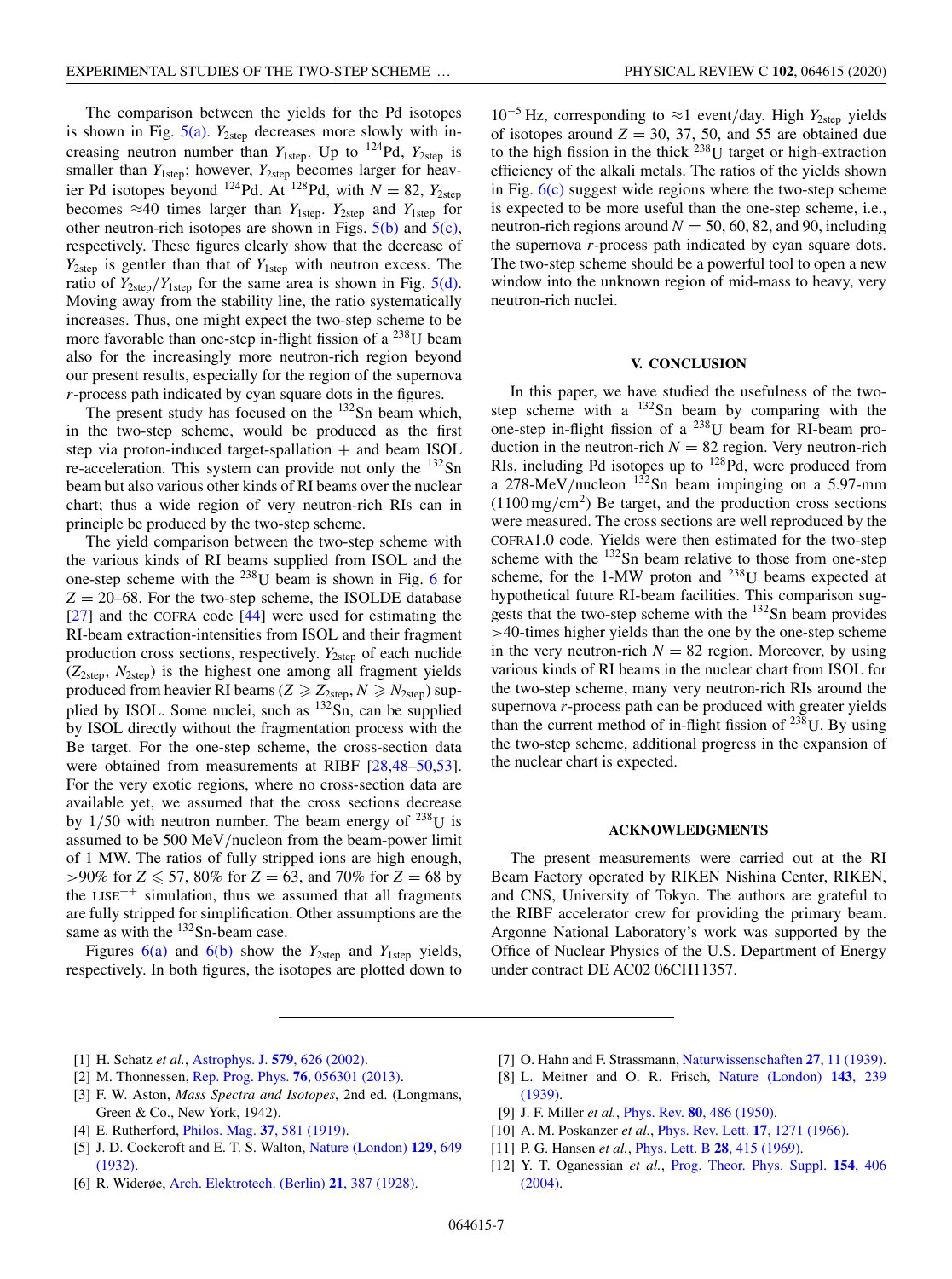<span id="page-6-0"></span>The comparison between the yields for the Pd isotopes is shown in Fig.  $5(a)$ .  $Y_{2step}$  decreases more slowly with increasing neutron number than  $Y_{1\text{step}}$ . Up to <sup>124</sup>Pd,  $Y_{2\text{step}}$  is smaller than  $Y_{1step}$ ; however,  $Y_{2step}$  becomes larger for heavier Pd isotopes beyond <sup>124</sup>Pd. At <sup>128</sup>Pd, with  $N = 82$ ,  $Y_{2\text{step}}$ becomes  $\approx$ 40 times larger than  $Y_{1\text{step}}$ .  $Y_{2\text{step}}$  and  $Y_{1\text{step}}$  for other neutron-rich isotopes are shown in Figs.  $5(b)$  and  $5(c)$ , respectively. These figures clearly show that the decrease of *Y*2step is gentler than that of *Y*1step with neutron excess. The ratio of  $Y_{2step}/Y_{1step}$  for the same area is shown in Fig. [5\(d\).](#page-4-0) Moving away from the stability line, the ratio systematically increases. Thus, one might expect the two-step scheme to be more favorable than one-step in-flight fission of a  $^{238}$ U beam also for the increasingly more neutron-rich region beyond our present results, especially for the region of the supernova *r*-process path indicated by cyan square dots in the figures.

The present study has focused on the  $132$ Sn beam which, in the two-step scheme, would be produced as the first step via proton-induced target-spallation  $+$  and beam ISOL re-acceleration. This system can provide not only the  $^{132}Sn$ beam but also various other kinds of RI beams over the nuclear chart; thus a wide region of very neutron-rich RIs can in principle be produced by the two-step scheme.

The yield comparison between the two-step scheme with the various kinds of RI beams supplied from ISOL and the one-step scheme with the  $^{238}$ U beam is shown in Fig. [6](#page-5-0) for  $Z = 20-68$ . For the two-step scheme, the ISOLDE database [\[27\]](#page-7-0) and the COFRA code [\[44\]](#page-7-0) were used for estimating the RI-beam extraction-intensities from ISOL and their fragment production cross sections, respectively. *Y*<sub>2step</sub> of each nuclide  $(Z_{2\text{step}}, N_{2\text{step}})$  is the highest one among all fragment yields produced from heavier RI beams ( $Z \ge Z_{2step}$ ,  $N \ge N_{2step}$ ) supplied by ISOL. Some nuclei, such as  $132$ Sn, can be supplied by ISOL directly without the fragmentation process with the Be target. For the one-step scheme, the cross-section data were obtained from measurements at RIBF [\[28,48–50,53\]](#page-7-0). For the very exotic regions, where no cross-section data are available yet, we assumed that the cross sections decrease by  $1/50$  with neutron number. The beam energy of  $^{238}$ U is assumed to be 500 MeV/nucleon from the beam-power limit of 1 MW. The ratios of fully stripped ions are high enough,  $> 90\%$  for  $Z \le 57$ , 80% for  $Z = 63$ , and 70% for  $Z = 68$  by the  $LISE^{++}$  simulation, thus we assumed that all fragments are fully stripped for simplification. Other assumptions are the same as with the <sup>132</sup>Sn-beam case.

Figures  $6(a)$  and  $6(b)$  show the  $Y_{2step}$  and  $Y_{1step}$  yields, respectively. In both figures, the isotopes are plotted down to

<sup>10</sup>−<sup>5</sup> Hz, corresponding to <sup>≈</sup>1 event/day. High *<sup>Y</sup>*2step yields of isotopes around  $Z = 30, 37, 50,$  and 55 are obtained due to the high fission in the thick  $^{238}$ U target or high-extraction efficiency of the alkali metals. The ratios of the yields shown in Fig.  $6(c)$  suggest wide regions where the two-step scheme is expected to be more useful than the one-step scheme, i.e., neutron-rich regions around  $N = 50, 60, 82,$  and 90, including the supernova *r*-process path indicated by cyan square dots. The two-step scheme should be a powerful tool to open a new window into the unknown region of mid-mass to heavy, very neutron-rich nuclei.

### **V. CONCLUSION**

In this paper, we have studied the usefulness of the twostep scheme with a  $132$ Sn beam by comparing with the one-step in-flight fission of a  $^{238}$ U beam for RI-beam production in the neutron-rich  $N = 82$  region. Very neutron-rich RIs, including Pd isotopes up to  $^{128}$ Pd, were produced from a 278-MeV/nucleon  $132$ Sn beam impinging on a 5.97-mm  $(1100 \,\mathrm{mg/cm^2})$  Be target, and the production cross sections were measured. The cross sections are well reproduced by the COFRA1.0 code. Yields were then estimated for the two-step scheme with the  $132$ Sn beam relative to those from one-step scheme, for the 1-MW proton and  $^{238}$ U beams expected at hypothetical future RI-beam facilities. This comparison suggests that the two-step scheme with the  $132$ Sn beam provides >40-times higher yields than the one by the one-step scheme in the very neutron-rich  $N = 82$  region. Moreover, by using various kinds of RI beams in the nuclear chart from ISOL for the two-step scheme, many very neutron-rich RIs around the supernova *r*-process path can be produced with greater yields than the current method of in-flight fission of  $238$ U. By using the two-step scheme, additional progress in the expansion of the nuclear chart is expected.

## **ACKNOWLEDGMENTS**

The present measurements were carried out at the RI Beam Factory operated by RIKEN Nishina Center, RIKEN, and CNS, University of Tokyo. The authors are grateful to the RIBF accelerator crew for providing the primary beam. Argonne National Laboratory's work was supported by the Office of Nuclear Physics of the U.S. Department of Energy under contract DE AC02 06CH11357.

- [1] H. Schatz *et al.*, [Astrophys. J.](https://doi.org/10.1086/342939) **579**, 626 (2002).
- [2] M. Thonnessen, [Rep. Prog. Phys.](https://doi.org/10.1088/0034-4885/76/5/056301) **76**, 056301 (2013).
- [3] F. W. Aston, *Mass Spectra and Isotopes*, 2nd ed. (Longmans, Green & Co., New York, 1942).
- [4] E. Rutherford, [Philos. Mag.](https://doi.org/10.1080/14786440608635919) **37**, 581 (1919).
- [5] [J. D. Cockcroft and E. T. S. Walton,](https://doi.org/10.1038/129649a0) Nature (London) **129**, 649 (1932).
- [6] R. Widerøe, [Arch. Elektrotech. \(Berlin\)](https://doi.org/10.1007/BF01656341) **21**, 387 (1928).
- [7] O. Hahn and F. Strassmann, [Naturwissenschaften](https://doi.org/10.1007/BF01488241) **27**, 11 (1939).
- [8] [L. Meitner and O. R. Frisch,](https://doi.org/10.1038/143239a0) Nature (London) **143**, 239 (1939).
- [9] J. F. Miller *et al.*, Phys. Rev. **80**[, 486 \(1950\).](https://doi.org/10.1103/PhysRev.80.486)
- [10] A. M. Poskanzer *et al.*, [Phys. Rev. Lett.](https://doi.org/10.1103/PhysRevLett.17.1271) **17**, 1271 (1966).
- [11] P. G. Hansen *et al.*, [Phys. Lett. B](https://doi.org/10.1016/0370-2693(69)90337-2) **28**, 415 (1969).
- [12] Y. T. Oganessian *et al.*, [Prog. Theor. Phys. Suppl.](https://doi.org/10.1143/PTPS.154.406) **154**, 406 (2004).